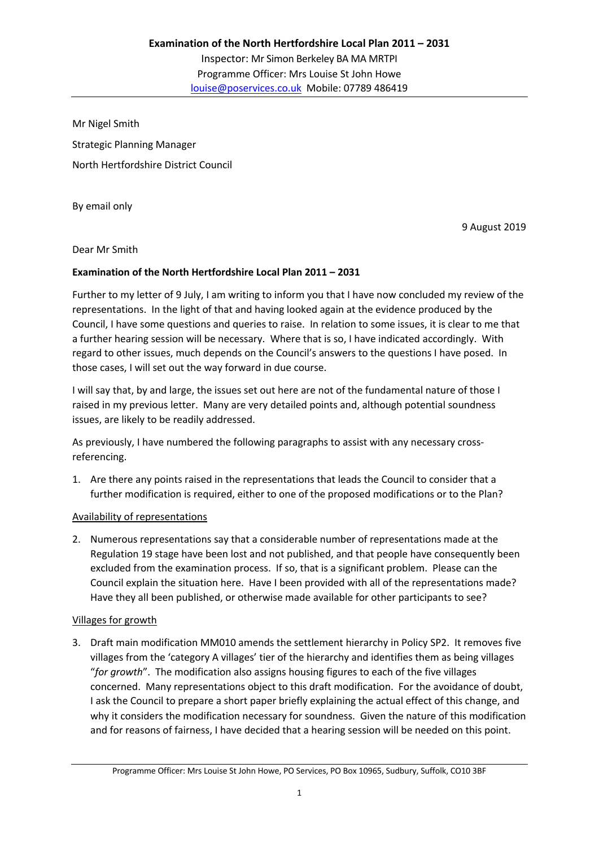Mr Nigel Smith Strategic Planning Manager North Hertfordshire District Council

By email only

9 August 2019

Dear Mr Smith

### **Examination of the North Hertfordshire Local Plan 2011 – 2031**

Further to my letter of 9 July, I am writing to inform you that I have now concluded my review of the representations. In the light of that and having looked again at the evidence produced by the Council, I have some questions and queries to raise. In relation to some issues, it is clear to me that a further hearing session will be necessary. Where that is so, I have indicated accordingly. With regard to other issues, much depends on the Council's answers to the questions I have posed. In those cases, I will set out the way forward in due course.

I will say that, by and large, the issues set out here are not of the fundamental nature of those I raised in my previous letter. Many are very detailed points and, although potential soundness issues, are likely to be readily addressed.

As previously, I have numbered the following paragraphs to assist with any necessary crossreferencing.

1. Are there any points raised in the representations that leads the Council to consider that a further modification is required, either to one of the proposed modifications or to the Plan?

### Availability of representations

2. Numerous representations say that a considerable number of representations made at the Regulation 19 stage have been lost and not published, and that people have consequently been excluded from the examination process. If so, that is a significant problem. Please can the Council explain the situation here. Have I been provided with all of the representations made? Have they all been published, or otherwise made available for other participants to see?

### Villages for growth

3. Draft main modification MM010 amends the settlement hierarchy in Policy SP2. It removes five villages from the 'category A villages' tier of the hierarchy and identifies them as being villages "*for growth*". The modification also assigns housing figures to each of the five villages concerned. Many representations object to this draft modification. For the avoidance of doubt, I ask the Council to prepare a short paper briefly explaining the actual effect of this change, and why it considers the modification necessary for soundness. Given the nature of this modification and for reasons of fairness, I have decided that a hearing session will be needed on this point.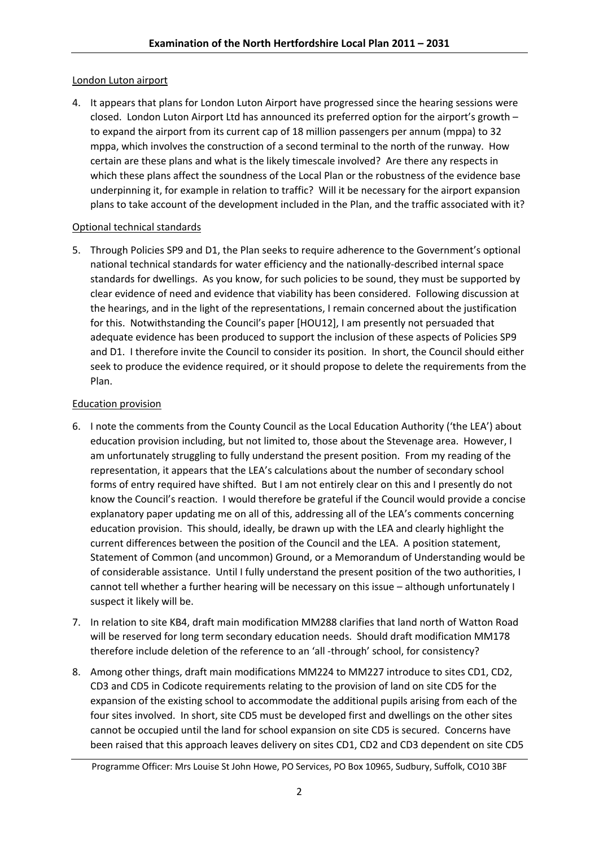### London Luton airport

4. It appears that plans for London Luton Airport have progressed since the hearing sessions were closed. London Luton Airport Ltd has announced its preferred option for the airport's growth – to expand the airport from its current cap of 18 million passengers per annum (mppa) to 32 mppa, which involves the construction of a second terminal to the north of the runway. How certain are these plans and what is the likely timescale involved? Are there any respects in which these plans affect the soundness of the Local Plan or the robustness of the evidence base underpinning it, for example in relation to traffic? Will it be necessary for the airport expansion plans to take account of the development included in the Plan, and the traffic associated with it?

### Optional technical standards

5. Through Policies SP9 and D1, the Plan seeks to require adherence to the Government's optional national technical standards for water efficiency and the nationally-described internal space standards for dwellings. As you know, for such policies to be sound, they must be supported by clear evidence of need and evidence that viability has been considered. Following discussion at the hearings, and in the light of the representations, I remain concerned about the justification for this. Notwithstanding the Council's paper [HOU12], I am presently not persuaded that adequate evidence has been produced to support the inclusion of these aspects of Policies SP9 and D1. I therefore invite the Council to consider its position. In short, the Council should either seek to produce the evidence required, or it should propose to delete the requirements from the Plan.

# Education provision

- 6. I note the comments from the County Council as the Local Education Authority ('the LEA') about education provision including, but not limited to, those about the Stevenage area. However, I am unfortunately struggling to fully understand the present position. From my reading of the representation, it appears that the LEA's calculations about the number of secondary school forms of entry required have shifted. But I am not entirely clear on this and I presently do not know the Council's reaction. I would therefore be grateful if the Council would provide a concise explanatory paper updating me on all of this, addressing all of the LEA's comments concerning education provision. This should, ideally, be drawn up with the LEA and clearly highlight the current differences between the position of the Council and the LEA. A position statement, Statement of Common (and uncommon) Ground, or a Memorandum of Understanding would be of considerable assistance. Until I fully understand the present position of the two authorities, I cannot tell whether a further hearing will be necessary on this issue – although unfortunately I suspect it likely will be.
- 7. In relation to site KB4, draft main modification MM288 clarifies that land north of Watton Road will be reserved for long term secondary education needs. Should draft modification MM178 therefore include deletion of the reference to an 'all -through' school, for consistency?
- 8. Among other things, draft main modifications MM224 to MM227 introduce to sites CD1, CD2, CD3 and CD5 in Codicote requirements relating to the provision of land on site CD5 for the expansion of the existing school to accommodate the additional pupils arising from each of the four sites involved. In short, site CD5 must be developed first and dwellings on the other sites cannot be occupied until the land for school expansion on site CD5 is secured. Concerns have been raised that this approach leaves delivery on sites CD1, CD2 and CD3 dependent on site CD5

Programme Officer: Mrs Louise St John Howe, PO Services, PO Box 10965, Sudbury, Suffolk, CO10 3BF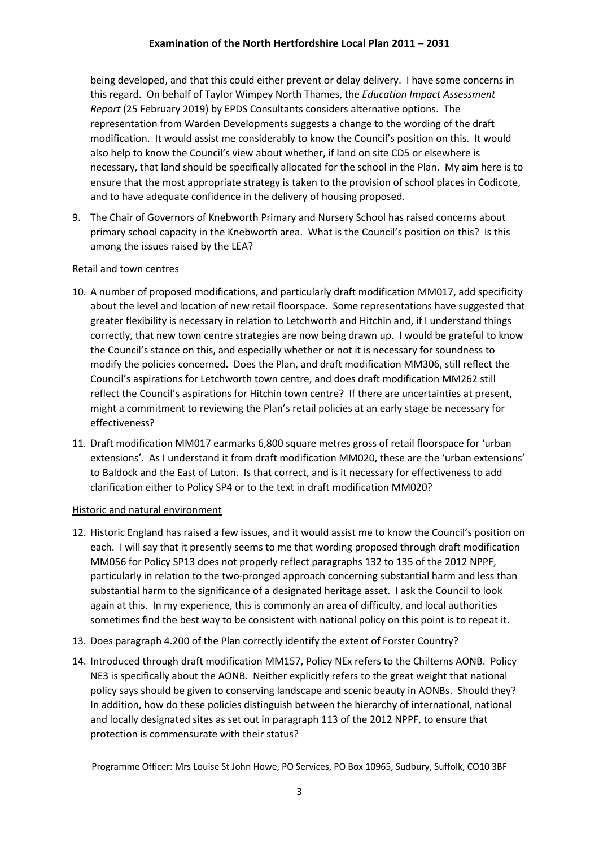being developed, and that this could either prevent or delay delivery. I have some concerns in this regard. On behalf of Taylor Wimpey North Thames, the *Education Impact Assessment Report* (25 February 2019) by EPDS Consultants considers alternative options. The representation from Warden Developments suggests a change to the wording of the draft modification. It would assist me considerably to know the Council's position on this. It would also help to know the Council's view about whether, if land on site CD5 or elsewhere is necessary, that land should be specifically allocated for the school in the Plan. My aim here is to ensure that the most appropriate strategy is taken to the provision of school places in Codicote, and to have adequate confidence in the delivery of housing proposed.

9. The Chair of Governors of Knebworth Primary and Nursery School has raised concerns about primary school capacity in the Knebworth area. What is the Council's position on this? Is this among the issues raised by the LEA?

# Retail and town centres

- 10. A number of proposed modifications, and particularly draft modification MM017, add specificity about the level and location of new retail floorspace. Some representations have suggested that greater flexibility is necessary in relation to Letchworth and Hitchin and, if I understand things correctly, that new town centre strategies are now being drawn up. I would be grateful to know the Council's stance on this, and especially whether or not it is necessary for soundness to modify the policies concerned. Does the Plan, and draft modification MM306, still reflect the Council's aspirations for Letchworth town centre, and does draft modification MM262 still reflect the Council's aspirations for Hitchin town centre? If there are uncertainties at present, might a commitment to reviewing the Plan's retail policies at an early stage be necessary for effectiveness?
- 11. Draft modification MM017 earmarks 6,800 square metres gross of retail floorspace for 'urban extensions'. As I understand it from draft modification MM020, these are the 'urban extensions' to Baldock and the East of Luton. Is that correct, and is it necessary for effectiveness to add clarification either to Policy SP4 or to the text in draft modification MM020?

### Historic and natural environment

- 12. Historic England has raised a few issues, and it would assist me to know the Council's position on each. I will say that it presently seems to me that wording proposed through draft modification MM056 for Policy SP13 does not properly reflect paragraphs 132 to 135 of the 2012 NPPF, particularly in relation to the two-pronged approach concerning substantial harm and less than substantial harm to the significance of a designated heritage asset. I ask the Council to look again at this. In my experience, this is commonly an area of difficulty, and local authorities sometimes find the best way to be consistent with national policy on this point is to repeat it.
- 13. Does paragraph 4.200 of the Plan correctly identify the extent of Forster Country?
- 14. Introduced through draft modification MM157, Policy NEx refers to the Chilterns AONB. Policy NE3 is specifically about the AONB. Neither explicitly refers to the great weight that national policy says should be given to conserving landscape and scenic beauty in AONBs. Should they? In addition, how do these policies distinguish between the hierarchy of international, national and locally designated sites as set out in paragraph 113 of the 2012 NPPF, to ensure that protection is commensurate with their status?

Programme Officer: Mrs Louise St John Howe, PO Services, PO Box 10965, Sudbury, Suffolk, CO10 3BF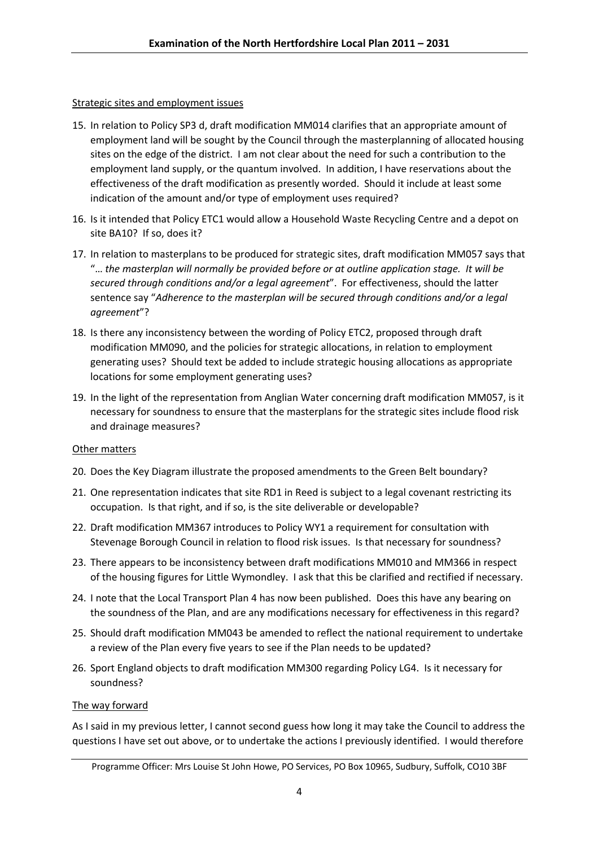### Strategic sites and employment issues

- 15. In relation to Policy SP3 d, draft modification MM014 clarifies that an appropriate amount of employment land will be sought by the Council through the masterplanning of allocated housing sites on the edge of the district. I am not clear about the need for such a contribution to the employment land supply, or the quantum involved. In addition, I have reservations about the effectiveness of the draft modification as presently worded. Should it include at least some indication of the amount and/or type of employment uses required?
- 16. Is it intended that Policy ETC1 would allow a Household Waste Recycling Centre and a depot on site BA10? If so, does it?
- 17. In relation to masterplans to be produced for strategic sites, draft modification MM057 says that "… *the masterplan will normally be provided before or at outline application stage. It will be secured through conditions and/or a legal agreement*". For effectiveness, should the latter sentence say "*Adherence to the masterplan will be secured through conditions and/or a legal agreement*"?
- 18. Is there any inconsistency between the wording of Policy ETC2, proposed through draft modification MM090, and the policies for strategic allocations, in relation to employment generating uses? Should text be added to include strategic housing allocations as appropriate locations for some employment generating uses?
- 19. In the light of the representation from Anglian Water concerning draft modification MM057, is it necessary for soundness to ensure that the masterplans for the strategic sites include flood risk and drainage measures?

### Other matters

- 20. Does the Key Diagram illustrate the proposed amendments to the Green Belt boundary?
- 21. One representation indicates that site RD1 in Reed is subject to a legal covenant restricting its occupation. Is that right, and if so, is the site deliverable or developable?
- 22. Draft modification MM367 introduces to Policy WY1 a requirement for consultation with Stevenage Borough Council in relation to flood risk issues. Is that necessary for soundness?
- 23. There appears to be inconsistency between draft modifications MM010 and MM366 in respect of the housing figures for Little Wymondley. I ask that this be clarified and rectified if necessary.
- 24. I note that the Local Transport Plan 4 has now been published. Does this have any bearing on the soundness of the Plan, and are any modifications necessary for effectiveness in this regard?
- 25. Should draft modification MM043 be amended to reflect the national requirement to undertake a review of the Plan every five years to see if the Plan needs to be updated?
- 26. Sport England objects to draft modification MM300 regarding Policy LG4. Is it necessary for soundness?

### The way forward

As I said in my previous letter, I cannot second guess how long it may take the Council to address the questions I have set out above, or to undertake the actions I previously identified. I would therefore

Programme Officer: Mrs Louise St John Howe, PO Services, PO Box 10965, Sudbury, Suffolk, CO10 3BF